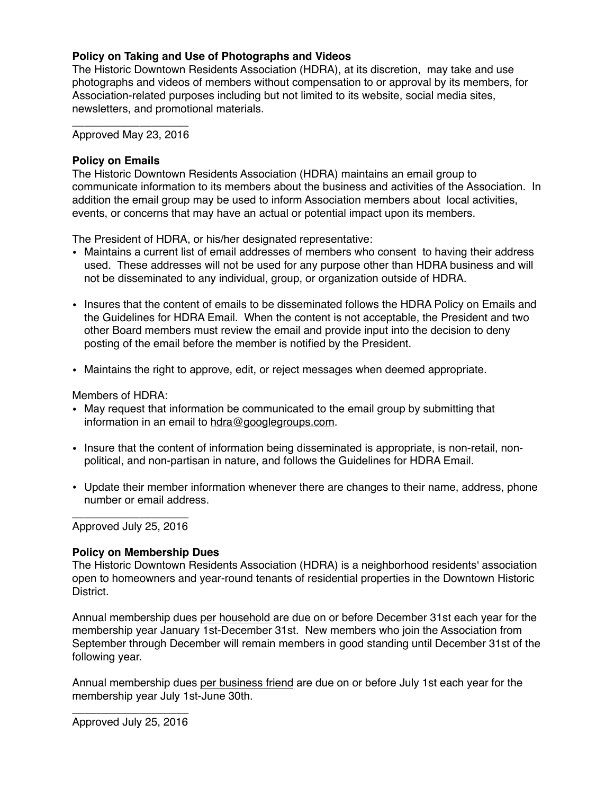## **Policy on Taking and Use of Photographs and Videos**

The Historic Downtown Residents Association (HDRA), at its discretion, may take and use photographs and videos of members without compensation to or approval by its members, for Association-related purposes including but not limited to its website, social media sites, newsletters, and promotional materials.

\_\_\_\_\_\_\_\_\_\_\_\_\_\_\_\_\_\_\_ Approved May 23, 2016

#### **Policy on Emails**

The Historic Downtown Residents Association (HDRA) maintains an email group to communicate information to its members about the business and activities of the Association. In addition the email group may be used to inform Association members about local activities, events, or concerns that may have an actual or potential impact upon its members.

The President of HDRA, or his/her designated representative:

- Maintains a current list of email addresses of members who consent to having their address used. These addresses will not be used for any purpose other than HDRA business and will not be disseminated to any individual, group, or organization outside of HDRA.
- Insures that the content of emails to be disseminated follows the HDRA Policy on Emails and the Guidelines for HDRA Email. When the content is not acceptable, the President and two other Board members must review the email and provide input into the decision to deny posting of the email before the member is notified by the President.
- Maintains the right to approve, edit, or reject messages when deemed appropriate.

Members of HDRA:

- May request that information be communicated to the email group by submitting that information in an email to [hdra@googlegroups.com.](mailto:hdra@googlegroups.com)
- Insure that the content of information being disseminated is appropriate, is non-retail, nonpolitical, and non-partisan in nature, and follows the Guidelines for HDRA Email.
- Update their member information whenever there are changes to their name, address, phone number or email address.

\_\_\_\_\_\_\_\_\_\_\_\_\_\_\_\_\_\_\_ Approved July 25, 2016

# **Policy on Membership Dues**

The Historic Downtown Residents Association (HDRA) is a neighborhood residents' association open to homeowners and year-round tenants of residential properties in the Downtown Historic District.

Annual membership dues per household are due on or before December 31st each year for the membership year January 1st-December 31st. New members who join the Association from September through December will remain members in good standing until December 31st of the following year.

Annual membership dues per business friend are due on or before July 1st each year for the membership year July 1st-June 30th.

\_\_\_\_\_\_\_\_\_\_\_\_\_\_\_\_\_\_\_ Approved July 25, 2016